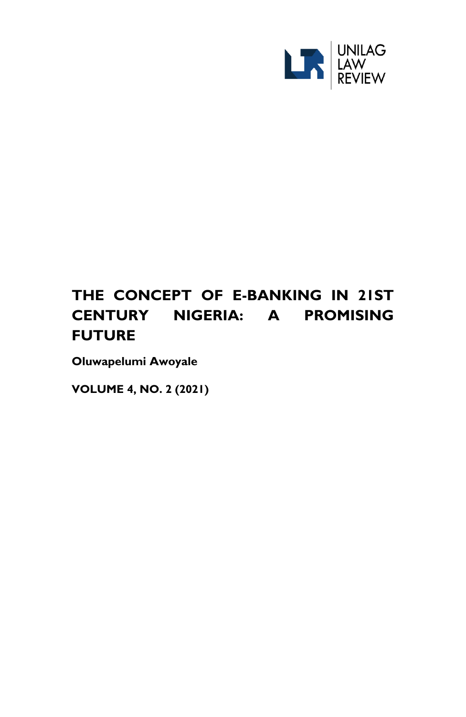

# **THE CONCEPT OF E-BANKING IN 21ST CENTURY NIGERIA: A PROMISING FUTURE**

**Oluwapelumi Awoyale**

**VOLUME 4, NO. 2 (2021)**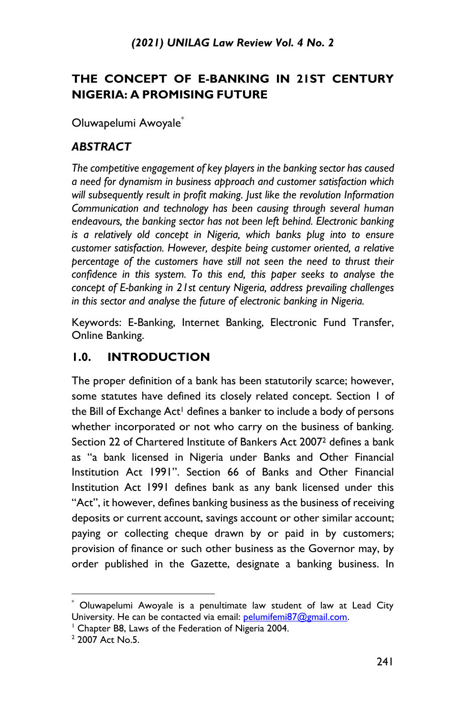# **THE CONCEPT OF E-BANKING IN 21ST CENTURY NIGERIA: A PROMISING FUTURE**

Oluwapelumi Awoyale\*

# *ABSTRACT*

*The competitive engagement of key players in the banking sector has caused a need for dynamism in business approach and customer satisfaction which will subsequently result in profit making. Just like the revolution Information Communication and technology has been causing through several human endeavours, the banking sector has not been left behind. Electronic banking is a relatively old concept in Nigeria, which banks plug into to ensure customer satisfaction. However, despite being customer oriented, a relative percentage of the customers have still not seen the need to thrust their confidence in this system. To this end, this paper seeks to analyse the concept of E-banking in 21st century Nigeria, address prevailing challenges in this sector and analyse the future of electronic banking in Nigeria.*

Keywords: E-Banking, Internet Banking, Electronic Fund Transfer, Online Banking.

# **1.0. INTRODUCTION**

The proper definition of a bank has been statutorily scarce; however, some statutes have defined its closely related concept. Section 1 of the Bill of Exchange Act<sup>1</sup> defines a banker to include a body of persons whether incorporated or not who carry on the business of banking. Section 22 of Chartered Institute of Bankers Act 2007<sup>2</sup> defines a bank as "a bank licensed in Nigeria under Banks and Other Financial Institution Act 1991". Section 66 of Banks and Other Financial Institution Act 1991 defines bank as any bank licensed under this "Act", it however, defines banking business as the business of receiving deposits or current account, savings account or other similar account; paying or collecting cheque drawn by or paid in by customers; provision of finance or such other business as the Governor may, by order published in the Gazette, designate a banking business. In

<sup>1</sup> Chapter B8, Laws of the Federation of Nigeria 2004.

<sup>\*</sup> Oluwapelumi Awoyale is a penultimate law student of law at Lead City University. He can be contacted via email: [pelumifemi87@gmail.com.](mailto:pelumifemi87@gmail.com)

<sup>&</sup>lt;sup>2</sup> 2007 Act No.5.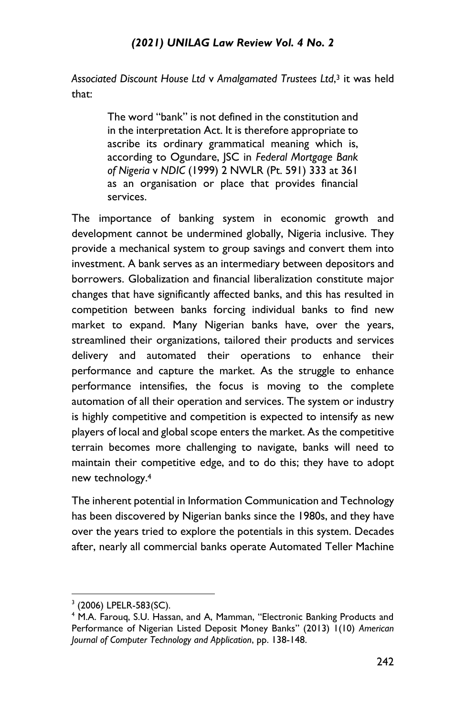*Associated Discount House Ltd* v *Amalgamated Trustees Ltd*, <sup>3</sup> it was held that:

> The word "bank" is not defined in the constitution and in the interpretation Act. It is therefore appropriate to ascribe its ordinary grammatical meaning which is, according to Ogundare, JSC in *Federal Mortgage Bank of Nigeria* v *NDIC* (1999) 2 NWLR (Pt. 591) 333 at 361 as an organisation or place that provides financial services.

The importance of banking system in economic growth and development cannot be undermined globally, Nigeria inclusive. They provide a mechanical system to group savings and convert them into investment. A bank serves as an intermediary between depositors and borrowers. Globalization and financial liberalization constitute major changes that have significantly affected banks, and this has resulted in competition between banks forcing individual banks to find new market to expand. Many Nigerian banks have, over the years, streamlined their organizations, tailored their products and services delivery and automated their operations to enhance their performance and capture the market. As the struggle to enhance performance intensifies, the focus is moving to the complete automation of all their operation and services. The system or industry is highly competitive and competition is expected to intensify as new players of local and global scope enters the market. As the competitive terrain becomes more challenging to navigate, banks will need to maintain their competitive edge, and to do this; they have to adopt new technology.<sup>4</sup>

The inherent potential in Information Communication and Technology has been discovered by Nigerian banks since the 1980s, and they have over the years tried to explore the potentials in this system. Decades after, nearly all commercial banks operate Automated Teller Machine

<sup>3</sup> (2006) LPELR-583(SC).

<sup>&</sup>lt;sup>4</sup> M.A. Farouq, S.U. Hassan, and A, Mamman, "Electronic Banking Products and Performance of Nigerian Listed Deposit Money Banks" (2013) 1(10) *American Journal of Computer Technology and Application*, pp. 138-148.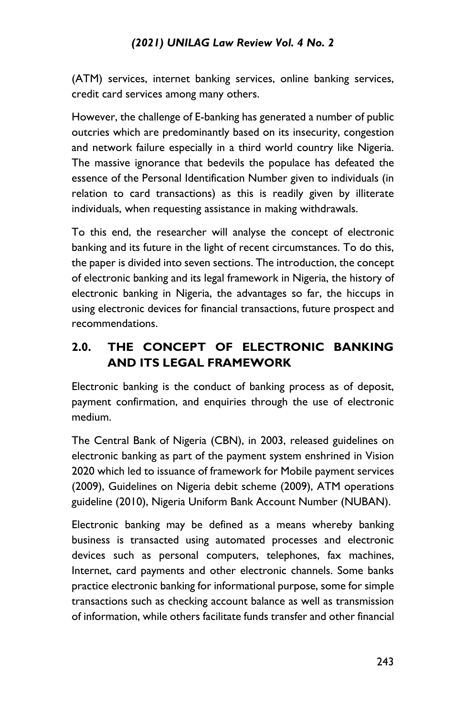(ATM) services, internet banking services, online banking services, credit card services among many others.

However, the challenge of E-banking has generated a number of public outcries which are predominantly based on its insecurity, congestion and network failure especially in a third world country like Nigeria. The massive ignorance that bedevils the populace has defeated the essence of the Personal Identification Number given to individuals (in relation to card transactions) as this is readily given by illiterate individuals, when requesting assistance in making withdrawals.

To this end, the researcher will analyse the concept of electronic banking and its future in the light of recent circumstances. To do this, the paper is divided into seven sections. The introduction, the concept of electronic banking and its legal framework in Nigeria, the history of electronic banking in Nigeria, the advantages so far, the hiccups in using electronic devices for financial transactions, future prospect and recommendations.

# **2.0. THE CONCEPT OF ELECTRONIC BANKING AND ITS LEGAL FRAMEWORK**

Electronic banking is the conduct of banking process as of deposit, payment confirmation, and enquiries through the use of electronic medium.

The Central Bank of Nigeria (CBN), in 2003, released guidelines on electronic banking as part of the payment system enshrined in Vision 2020 which led to issuance of framework for Mobile payment services (2009), Guidelines on Nigeria debit scheme (2009), ATM operations guideline (2010), Nigeria Uniform Bank Account Number (NUBAN).

Electronic banking may be defined as a means whereby banking business is transacted using automated processes and electronic devices such as personal computers, telephones, fax machines, Internet, card payments and other electronic channels. Some banks practice electronic banking for informational purpose, some for simple transactions such as checking account balance as well as transmission of information, while others facilitate funds transfer and other financial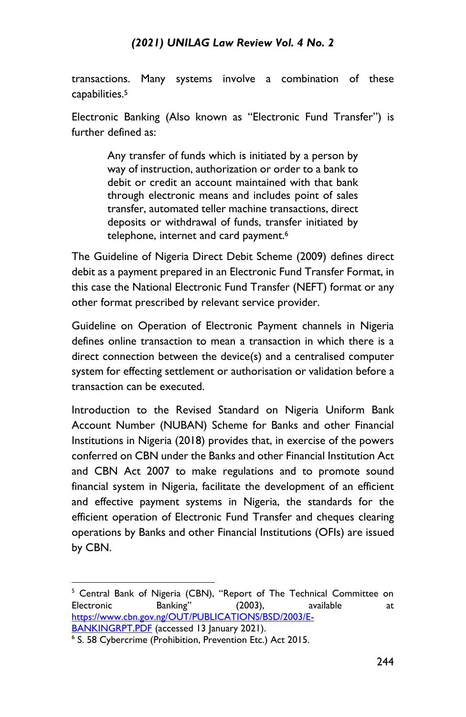transactions. Many systems involve a combination of these capabilities.<sup>5</sup>

Electronic Banking (Also known as "Electronic Fund Transfer") is further defined as:

> Any transfer of funds which is initiated by a person by way of instruction, authorization or order to a bank to debit or credit an account maintained with that bank through electronic means and includes point of sales transfer, automated teller machine transactions, direct deposits or withdrawal of funds, transfer initiated by telephone, internet and card payment.<sup>6</sup>

The Guideline of Nigeria Direct Debit Scheme (2009) defines direct debit as a payment prepared in an Electronic Fund Transfer Format, in this case the National Electronic Fund Transfer (NEFT) format or any other format prescribed by relevant service provider.

Guideline on Operation of Electronic Payment channels in Nigeria defines online transaction to mean a transaction in which there is a direct connection between the device(s) and a centralised computer system for effecting settlement or authorisation or validation before a transaction can be executed.

Introduction to the Revised Standard on Nigeria Uniform Bank Account Number (NUBAN) Scheme for Banks and other Financial Institutions in Nigeria (2018) provides that, in exercise of the powers conferred on CBN under the Banks and other Financial Institution Act and CBN Act 2007 to make regulations and to promote sound financial system in Nigeria, facilitate the development of an efficient and effective payment systems in Nigeria, the standards for the efficient operation of Electronic Fund Transfer and cheques clearing operations by Banks and other Financial Institutions (OFIs) are issued by CBN.

<sup>5</sup> Central Bank of Nigeria (CBN), "Report of The Technical Committee on Electronic Banking" (2003), available at [https://www.cbn.gov.ng/OUT/PUBLICATIONS/BSD/2003/E-](https://www.cbn.gov.ng/OUT/PUBLICATIONS/BSD/2003/E-BANKINGRPT.PDF)[BANKINGRPT.PDF](https://www.cbn.gov.ng/OUT/PUBLICATIONS/BSD/2003/E-BANKINGRPT.PDF) (accessed 13 January 2021).

<sup>&</sup>lt;sup>6</sup> S. 58 Cybercrime (Prohibition, Prevention Etc.) Act 2015.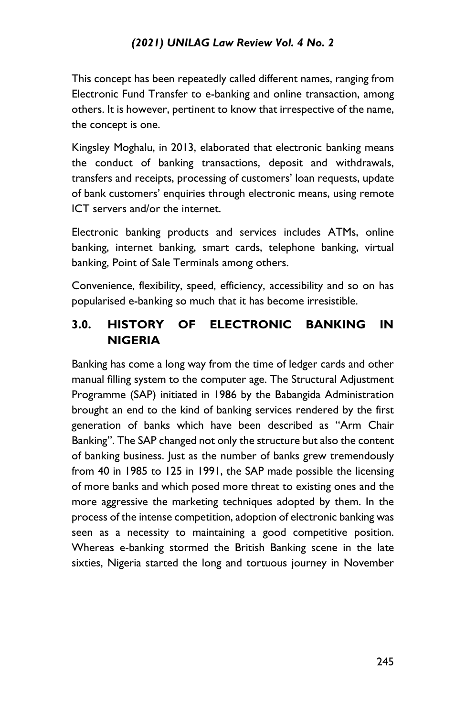This concept has been repeatedly called different names, ranging from Electronic Fund Transfer to e-banking and online transaction, among others. It is however, pertinent to know that irrespective of the name, the concept is one.

Kingsley Moghalu, in 2013, elaborated that electronic banking means the conduct of banking transactions, deposit and withdrawals, transfers and receipts, processing of customers' loan requests, update of bank customers' enquiries through electronic means, using remote ICT servers and/or the internet.

Electronic banking products and services includes ATMs, online banking, internet banking, smart cards, telephone banking, virtual banking, Point of Sale Terminals among others.

Convenience, flexibility, speed, efficiency, accessibility and so on has popularised e-banking so much that it has become irresistible.

# **3.0. HISTORY OF ELECTRONIC BANKING IN NIGERIA**

Banking has come a long way from the time of ledger cards and other manual filling system to the computer age. The Structural Adjustment Programme (SAP) initiated in 1986 by the Babangida Administration brought an end to the kind of banking services rendered by the first generation of banks which have been described as "Arm Chair Banking". The SAP changed not only the structure but also the content of banking business. Just as the number of banks grew tremendously from 40 in 1985 to 125 in 1991, the SAP made possible the licensing of more banks and which posed more threat to existing ones and the more aggressive the marketing techniques adopted by them. In the process of the intense competition, adoption of electronic banking was seen as a necessity to maintaining a good competitive position. Whereas e-banking stormed the British Banking scene in the late sixties, Nigeria started the long and tortuous journey in November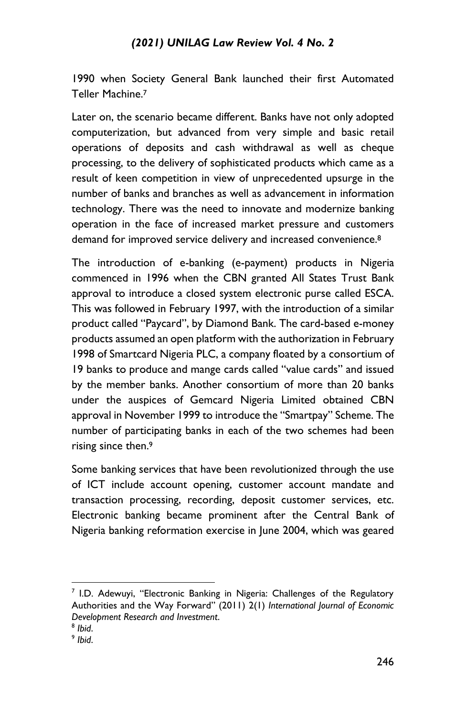1990 when Society General Bank launched their first Automated Teller Machine.<sup>7</sup>

Later on, the scenario became different. Banks have not only adopted computerization, but advanced from very simple and basic retail operations of deposits and cash withdrawal as well as cheque processing, to the delivery of sophisticated products which came as a result of keen competition in view of unprecedented upsurge in the number of banks and branches as well as advancement in information technology. There was the need to innovate and modernize banking operation in the face of increased market pressure and customers demand for improved service delivery and increased convenience.<sup>8</sup>

The introduction of e-banking (e-payment) products in Nigeria commenced in 1996 when the CBN granted All States Trust Bank approval to introduce a closed system electronic purse called ESCA. This was followed in February 1997, with the introduction of a similar product called "Paycard", by Diamond Bank. The card-based e-money products assumed an open platform with the authorization in February 1998 of Smartcard Nigeria PLC, a company floated by a consortium of 19 banks to produce and mange cards called "value cards" and issued by the member banks. Another consortium of more than 20 banks under the auspices of Gemcard Nigeria Limited obtained CBN approval in November 1999 to introduce the "Smartpay" Scheme. The number of participating banks in each of the two schemes had been rising since then.<sup>9</sup>

Some banking services that have been revolutionized through the use of ICT include account opening, customer account mandate and transaction processing, recording, deposit customer services, etc. Electronic banking became prominent after the Central Bank of Nigeria banking reformation exercise in June 2004, which was geared

<sup>&</sup>lt;sup>7</sup> I.D. Adewuyi, "Electronic Banking in Nigeria: Challenges of the Regulatory Authorities and the Way Forward" (2011) 2(1) *International Journal of Economic Development Research and Investment*.

<sup>8</sup> *Ibid*.

<sup>9</sup> *Ibid*.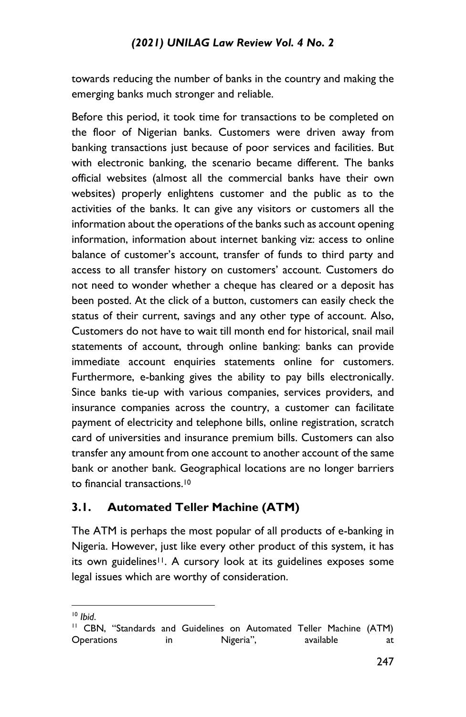towards reducing the number of banks in the country and making the emerging banks much stronger and reliable.

Before this period, it took time for transactions to be completed on the floor of Nigerian banks. Customers were driven away from banking transactions just because of poor services and facilities. But with electronic banking, the scenario became different. The banks official websites (almost all the commercial banks have their own websites) properly enlightens customer and the public as to the activities of the banks. It can give any visitors or customers all the information about the operations of the banks such as account opening information, information about internet banking viz: access to online balance of customer's account, transfer of funds to third party and access to all transfer history on customers' account. Customers do not need to wonder whether a cheque has cleared or a deposit has been posted. At the click of a button, customers can easily check the status of their current, savings and any other type of account. Also, Customers do not have to wait till month end for historical, snail mail statements of account, through online banking: banks can provide immediate account enquiries statements online for customers. Furthermore, e-banking gives the ability to pay bills electronically. Since banks tie-up with various companies, services providers, and insurance companies across the country, a customer can facilitate payment of electricity and telephone bills, online registration, scratch card of universities and insurance premium bills. Customers can also transfer any amount from one account to another account of the same bank or another bank. Geographical locations are no longer barriers to financial transactions.<sup>10</sup>

#### **3.1. Automated Teller Machine (ATM)**

The ATM is perhaps the most popular of all products of e-banking in Nigeria. However, just like every other product of this system, it has its own guidelines<sup>11</sup>. A cursory look at its guidelines exposes some legal issues which are worthy of consideration.

<sup>10</sup> *Ibid*.

<sup>&</sup>lt;sup>11</sup> CBN, "Standards and Guidelines on Automated Teller Machine (ATM) Operations in Nigeria", available at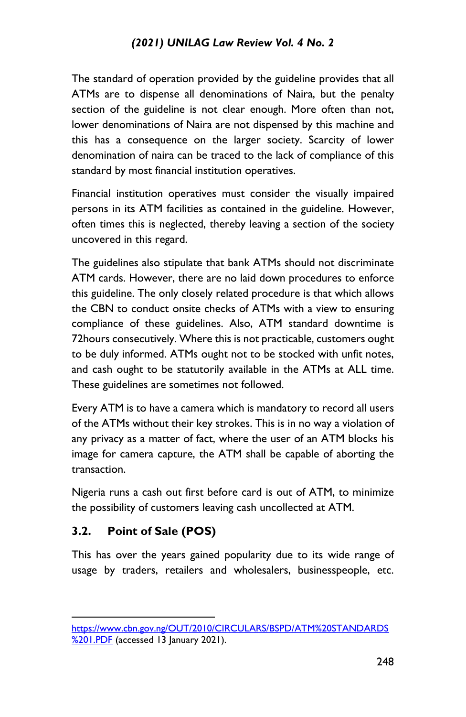The standard of operation provided by the guideline provides that all ATMs are to dispense all denominations of Naira, but the penalty section of the guideline is not clear enough. More often than not, lower denominations of Naira are not dispensed by this machine and this has a consequence on the larger society. Scarcity of lower denomination of naira can be traced to the lack of compliance of this standard by most financial institution operatives.

Financial institution operatives must consider the visually impaired persons in its ATM facilities as contained in the guideline. However, often times this is neglected, thereby leaving a section of the society uncovered in this regard.

The guidelines also stipulate that bank ATMs should not discriminate ATM cards. However, there are no laid down procedures to enforce this guideline. The only closely related procedure is that which allows the CBN to conduct onsite checks of ATMs with a view to ensuring compliance of these guidelines. Also, ATM standard downtime is 72hours consecutively. Where this is not practicable, customers ought to be duly informed. ATMs ought not to be stocked with unfit notes, and cash ought to be statutorily available in the ATMs at ALL time. These guidelines are sometimes not followed.

Every ATM is to have a camera which is mandatory to record all users of the ATMs without their key strokes. This is in no way a violation of any privacy as a matter of fact, where the user of an ATM blocks his image for camera capture, the ATM shall be capable of aborting the transaction.

Nigeria runs a cash out first before card is out of ATM, to minimize the possibility of customers leaving cash uncollected at ATM.

#### **3.2. Point of Sale (POS)**

This has over the years gained popularity due to its wide range of usage by traders, retailers and wholesalers, businesspeople, etc.

[https://www.cbn.gov.ng/OUT/2010/CIRCULARS/BSPD/ATM%20STANDARDS](https://www.cbn.gov.ng/OUT/2010/CIRCULARS/BSPD/ATM%20STANDARDS%201.PDF) [%201.PDF](https://www.cbn.gov.ng/OUT/2010/CIRCULARS/BSPD/ATM%20STANDARDS%201.PDF) (accessed 13 January 2021).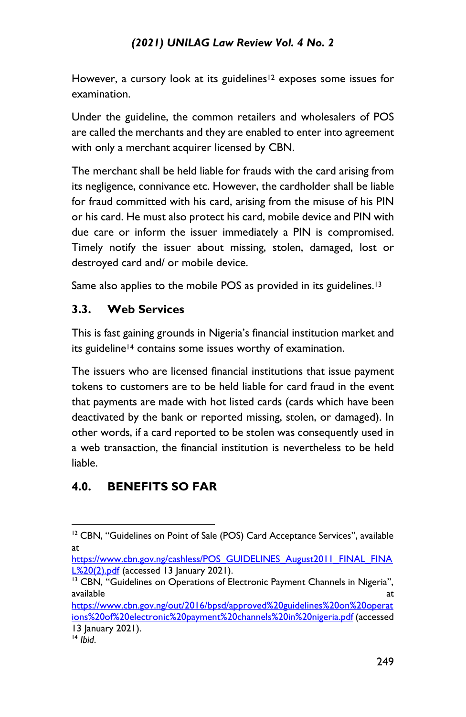However, a cursory look at its guidelines<sup>12</sup> exposes some issues for examination.

Under the guideline, the common retailers and wholesalers of POS are called the merchants and they are enabled to enter into agreement with only a merchant acquirer licensed by CBN.

The merchant shall be held liable for frauds with the card arising from its negligence, connivance etc. However, the cardholder shall be liable for fraud committed with his card, arising from the misuse of his PIN or his card. He must also protect his card, mobile device and PIN with due care or inform the issuer immediately a PIN is compromised. Timely notify the issuer about missing, stolen, damaged, lost or destroyed card and/ or mobile device.

Same also applies to the mobile POS as provided in its guidelines.<sup>13</sup>

## **3.3. Web Services**

This is fast gaining grounds in Nigeria's financial institution market and its guideline<sup>14</sup> contains some issues worthy of examination.

The issuers who are licensed financial institutions that issue payment tokens to customers are to be held liable for card fraud in the event that payments are made with hot listed cards (cards which have been deactivated by the bank or reported missing, stolen, or damaged). In other words, if a card reported to be stolen was consequently used in a web transaction, the financial institution is nevertheless to be held liable.

# **4.0. BENEFITS SO FAR**

[https://www.cbn.gov.ng/cashless/POS\\_GUIDELINES\\_August2011\\_FINAL\\_FINA](https://www.cbn.gov.ng/cashless/POS_GUIDELINES_August2011_FINAL_FINAL%20(2).pdf) [L%20\(2\).pdf](https://www.cbn.gov.ng/cashless/POS_GUIDELINES_August2011_FINAL_FINAL%20(2).pdf) (accessed 13 January 2021).

[https://www.cbn.gov.ng/out/2016/bpsd/approved%20guidelines%20on%20operat](https://www.cbn.gov.ng/out/2016/bpsd/approved%20guidelines%20on%20operations%20of%20electronic%20payment%20channels%20in%20nigeria.pdf) [ions%20of%20electronic%20payment%20channels%20in%20nigeria.pdf](https://www.cbn.gov.ng/out/2016/bpsd/approved%20guidelines%20on%20operations%20of%20electronic%20payment%20channels%20in%20nigeria.pdf) (accessed 13 January 2021).

 $12$  CBN, "Guidelines on Point of Sale (POS) Card Acceptance Services", available at

<sup>&</sup>lt;sup>13</sup> CBN, "Guidelines on Operations of Electronic Payment Channels in Nigeria", available at a state of the state of the state at a state of the state of the state at a state of the state of

<sup>14</sup> *Ibid*.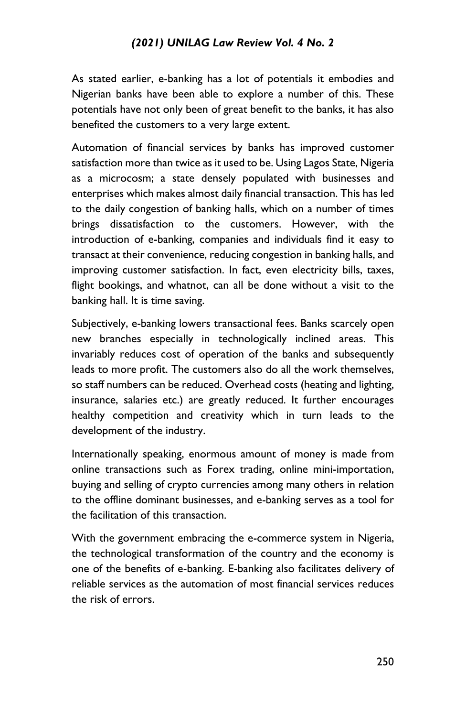As stated earlier, e-banking has a lot of potentials it embodies and Nigerian banks have been able to explore a number of this. These potentials have not only been of great benefit to the banks, it has also benefited the customers to a very large extent.

Automation of financial services by banks has improved customer satisfaction more than twice as it used to be. Using Lagos State, Nigeria as a microcosm; a state densely populated with businesses and enterprises which makes almost daily financial transaction. This has led to the daily congestion of banking halls, which on a number of times brings dissatisfaction to the customers. However, with the introduction of e-banking, companies and individuals find it easy to transact at their convenience, reducing congestion in banking halls, and improving customer satisfaction. In fact, even electricity bills, taxes, flight bookings, and whatnot, can all be done without a visit to the banking hall. It is time saving.

Subjectively, e-banking lowers transactional fees. Banks scarcely open new branches especially in technologically inclined areas. This invariably reduces cost of operation of the banks and subsequently leads to more profit. The customers also do all the work themselves, so staff numbers can be reduced. Overhead costs (heating and lighting, insurance, salaries etc.) are greatly reduced. It further encourages healthy competition and creativity which in turn leads to the development of the industry.

Internationally speaking, enormous amount of money is made from online transactions such as Forex trading, online mini-importation, buying and selling of crypto currencies among many others in relation to the offline dominant businesses, and e-banking serves as a tool for the facilitation of this transaction.

With the government embracing the e-commerce system in Nigeria, the technological transformation of the country and the economy is one of the benefits of e-banking. E-banking also facilitates delivery of reliable services as the automation of most financial services reduces the risk of errors.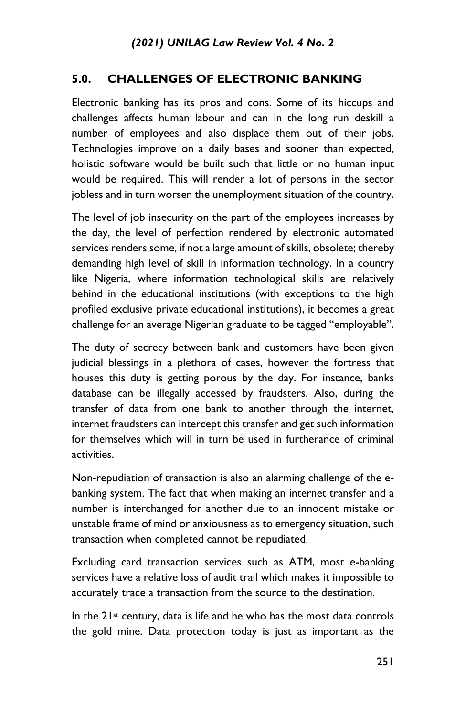# **5.0. CHALLENGES OF ELECTRONIC BANKING**

Electronic banking has its pros and cons. Some of its hiccups and challenges affects human labour and can in the long run deskill a number of employees and also displace them out of their jobs. Technologies improve on a daily bases and sooner than expected, holistic software would be built such that little or no human input would be required. This will render a lot of persons in the sector jobless and in turn worsen the unemployment situation of the country.

The level of job insecurity on the part of the employees increases by the day, the level of perfection rendered by electronic automated services renders some, if not a large amount of skills, obsolete; thereby demanding high level of skill in information technology. In a country like Nigeria, where information technological skills are relatively behind in the educational institutions (with exceptions to the high profiled exclusive private educational institutions), it becomes a great challenge for an average Nigerian graduate to be tagged "employable".

The duty of secrecy between bank and customers have been given judicial blessings in a plethora of cases, however the fortress that houses this duty is getting porous by the day. For instance, banks database can be illegally accessed by fraudsters. Also, during the transfer of data from one bank to another through the internet, internet fraudsters can intercept this transfer and get such information for themselves which will in turn be used in furtherance of criminal activities.

Non-repudiation of transaction is also an alarming challenge of the ebanking system. The fact that when making an internet transfer and a number is interchanged for another due to an innocent mistake or unstable frame of mind or anxiousness as to emergency situation, such transaction when completed cannot be repudiated.

Excluding card transaction services such as ATM, most e-banking services have a relative loss of audit trail which makes it impossible to accurately trace a transaction from the source to the destination.

In the 21st century, data is life and he who has the most data controls the gold mine. Data protection today is just as important as the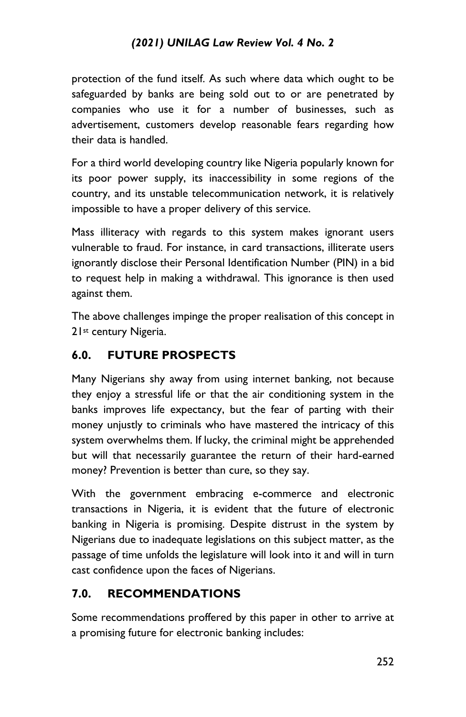protection of the fund itself. As such where data which ought to be safeguarded by banks are being sold out to or are penetrated by companies who use it for a number of businesses, such as advertisement, customers develop reasonable fears regarding how their data is handled.

For a third world developing country like Nigeria popularly known for its poor power supply, its inaccessibility in some regions of the country, and its unstable telecommunication network, it is relatively impossible to have a proper delivery of this service.

Mass illiteracy with regards to this system makes ignorant users vulnerable to fraud. For instance, in card transactions, illiterate users ignorantly disclose their Personal Identification Number (PIN) in a bid to request help in making a withdrawal. This ignorance is then used against them.

The above challenges impinge the proper realisation of this concept in 21<sup>st</sup> century Nigeria.

## **6.0. FUTURE PROSPECTS**

Many Nigerians shy away from using internet banking, not because they enjoy a stressful life or that the air conditioning system in the banks improves life expectancy, but the fear of parting with their money unjustly to criminals who have mastered the intricacy of this system overwhelms them. If lucky, the criminal might be apprehended but will that necessarily guarantee the return of their hard-earned money? Prevention is better than cure, so they say.

With the government embracing e-commerce and electronic transactions in Nigeria, it is evident that the future of electronic banking in Nigeria is promising. Despite distrust in the system by Nigerians due to inadequate legislations on this subject matter, as the passage of time unfolds the legislature will look into it and will in turn cast confidence upon the faces of Nigerians.

# **7.0. RECOMMENDATIONS**

Some recommendations proffered by this paper in other to arrive at a promising future for electronic banking includes: